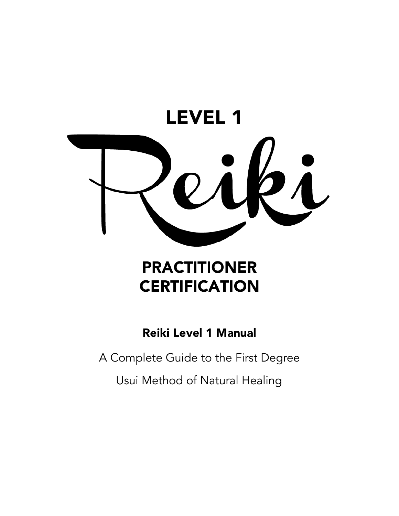

Reiki Level 1 Manual

A Complete Guide to the First Degree

Usui Method of Natural Healing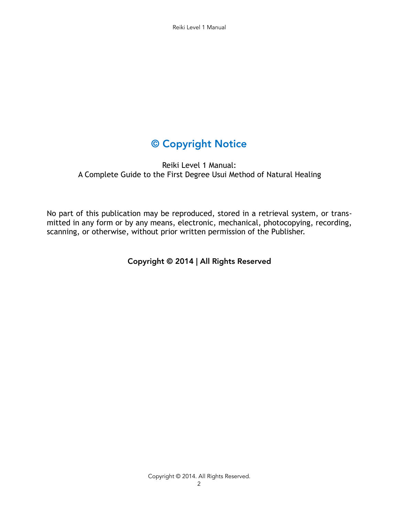Reiki Level 1 Manual

# © Copyright Notice

Reiki Level 1 Manual: A Complete Guide to the First Degree Usui Method of Natural Healing

No part of this publication may be reproduced, stored in a retrieval system, or transmitted in any form or by any means, electronic, mechanical, photocopying, recording, scanning, or otherwise, without prior written permission of the Publisher.

Copyright © 2014 | All Rights Reserved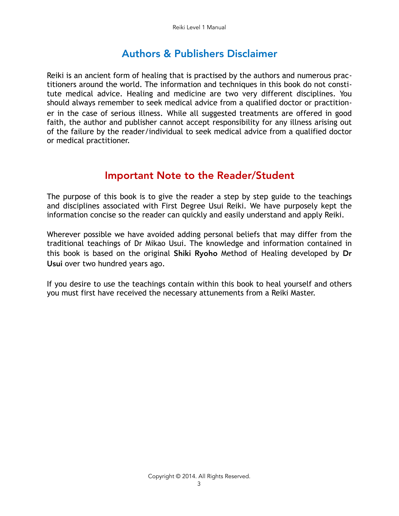### Authors & Publishers Disclaimer

Reiki is an ancient form of healing that is practised by the authors and numerous practitioners around the world. The information and techniques in this book do not constitute medical advice. Healing and medicine are two very different disciplines. You should always remember to seek medical advice from a qualified doctor or practitioner in the case of serious illness. While all suggested treatments are offered in good faith, the author and publisher cannot accept responsibility for any illness arising out of the failure by the reader/individual to seek medical advice from a qualified doctor or medical practitioner.

### Important Note to the Reader/Student

The purpose of this book is to give the reader a step by step guide to the teachings and disciplines associated with First Degree Usui Reiki. We have purposely kept the information concise so the reader can quickly and easily understand and apply Reiki.

Wherever possible we have avoided adding personal beliefs that may differ from the traditional teachings of Dr Mikao Usui. The knowledge and information contained in this book is based on the original Shiki Ryoho Method of Healing developed by Dr Usui over two hundred years ago.

If you desire to use the teachings contain within this book to heal yourself and others you must first have received the necessary attunements from a Reiki Master.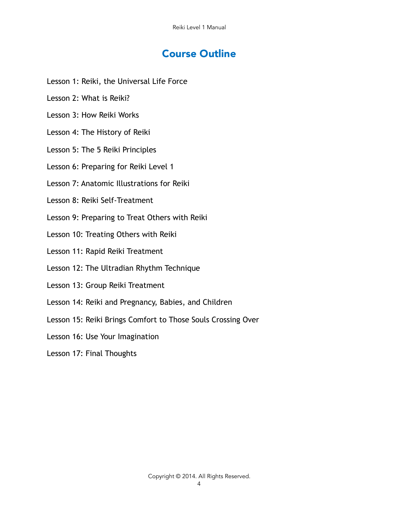### Course Outline

- Lesson 1: Reiki, the Universal Life Force
- Lesson 2: What is Reiki?
- Lesson 3: How Reiki Works
- Lesson 4: The History of Reiki
- Lesson 5: The 5 Reiki Principles
- Lesson 6: Preparing for Reiki Level 1
- Lesson 7: Anatomic Illustrations for Reiki
- Lesson 8: Reiki Self-Treatment
- Lesson 9: Preparing to Treat Others with Reiki
- Lesson 10: Treating Others with Reiki
- Lesson 11: Rapid Reiki Treatment
- Lesson 12: The Ultradian Rhythm Technique
- Lesson 13: Group Reiki Treatment
- Lesson 14: Reiki and Pregnancy, Babies, and Children
- Lesson 15: Reiki Brings Comfort to Those Souls Crossing Over
- Lesson 16: Use Your Imagination
- Lesson 17: Final Thoughts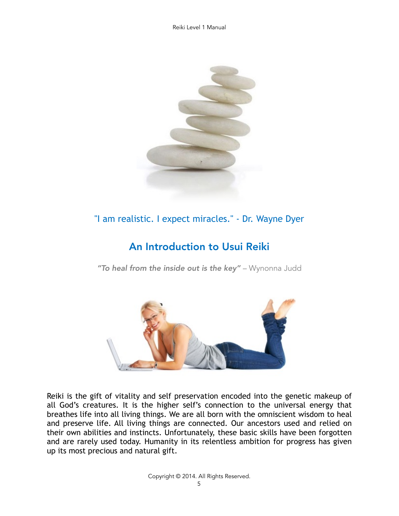

### "I am realistic. I expect miracles." - Dr. Wayne Dyer

## An Introduction to Usui Reiki

*"To heal from the inside out is the key"* – Wynonna Judd



Reiki is the gift of vitality and self preservation encoded into the genetic makeup of all God's creatures. It is the higher self's connection to the universal energy that breathes life into all living things. We are all born with the omniscient wisdom to heal and preserve life. All living things are connected. Our ancestors used and relied on their own abilities and instincts. Unfortunately, these basic skills have been forgotten and are rarely used today. Humanity in its relentless ambition for progress has given up its most precious and natural gift.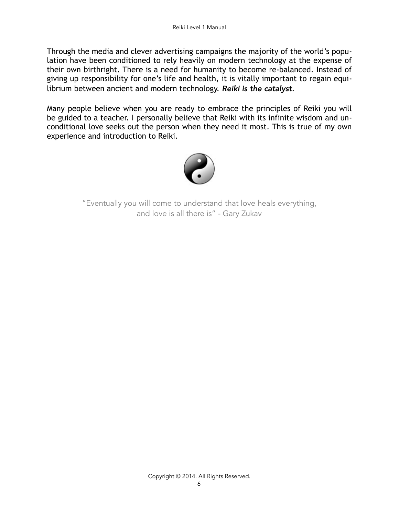Through the media and clever advertising campaigns the majority of the world's population have been conditioned to rely heavily on modern technology at the expense of their own birthright. There is a need for humanity to become re-balanced. Instead of giving up responsibility for one's life and health, it is vitally important to regain equilibrium between ancient and modern technology. *Reiki is the catalyst*.

Many people believe when you are ready to embrace the principles of Reiki you will be guided to a teacher. I personally believe that Reiki with its infinite wisdom and unconditional love seeks out the person when they need it most. This is true of my own experience and introduction to Reiki.



"Eventually you will come to understand that love heals everything, and love is all there is" - Gary Zukav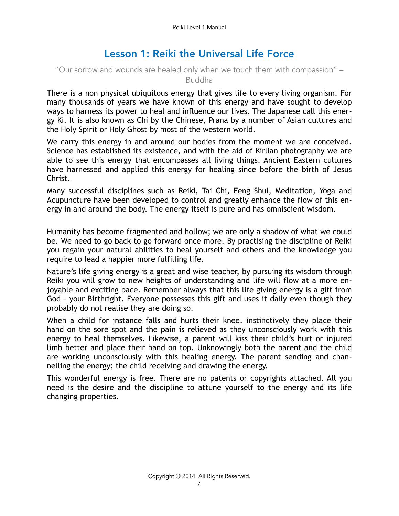## Lesson 1: Reiki the Universal Life Force

#### "Our sorrow and wounds are healed only when we touch them with compassion" – Buddha

There is a non physical ubiquitous energy that gives life to every living organism. For many thousands of years we have known of this energy and have sought to develop ways to harness its power to heal and influence our lives. The Japanese call this energy Ki. It is also known as Chi by the Chinese, Prana by a number of Asian cultures and the Holy Spirit or Holy Ghost by most of the western world.

We carry this energy in and around our bodies from the moment we are conceived. Science has established its existence, and with the aid of Kirlian photography we are able to see this energy that encompasses all living things. Ancient Eastern cultures have harnessed and applied this energy for healing since before the birth of Jesus Christ.

Many successful disciplines such as Reiki, Tai Chi, Feng Shui, Meditation, Yoga and Acupuncture have been developed to control and greatly enhance the flow of this energy in and around the body. The energy itself is pure and has omniscient wisdom.

Humanity has become fragmented and hollow; we are only a shadow of what we could be. We need to go back to go forward once more. By practising the discipline of Reiki you regain your natural abilities to heal yourself and others and the knowledge you require to lead a happier more fulfilling life.

Nature's life giving energy is a great and wise teacher, by pursuing its wisdom through Reiki you will grow to new heights of understanding and life will flow at a more enjoyable and exciting pace. Remember always that this life giving energy is a gift from God – your Birthright. Everyone possesses this gift and uses it daily even though they probably do not realise they are doing so.

When a child for instance falls and hurts their knee, instinctively they place their hand on the sore spot and the pain is relieved as they unconsciously work with this energy to heal themselves. Likewise, a parent will kiss their child's hurt or injured limb better and place their hand on top. Unknowingly both the parent and the child are working unconsciously with this healing energy. The parent sending and channelling the energy; the child receiving and drawing the energy.

This wonderful energy is free. There are no patents or copyrights attached. All you need is the desire and the discipline to attune yourself to the energy and its life changing properties.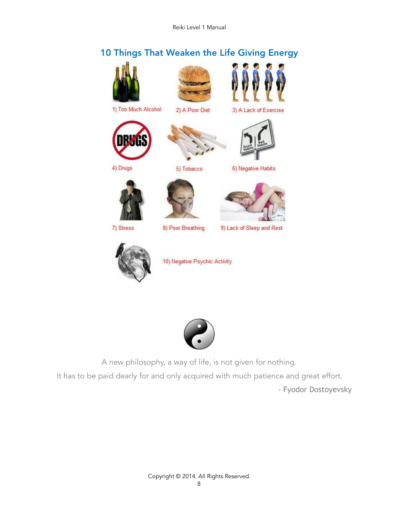### 10 Things That Weaken the Life Giving Energy





A new philosophy, a way of life, is not given for nothing.

It has to be paid dearly for and only acquired with much patience and great effort.

- Fyodor Dostoyevsky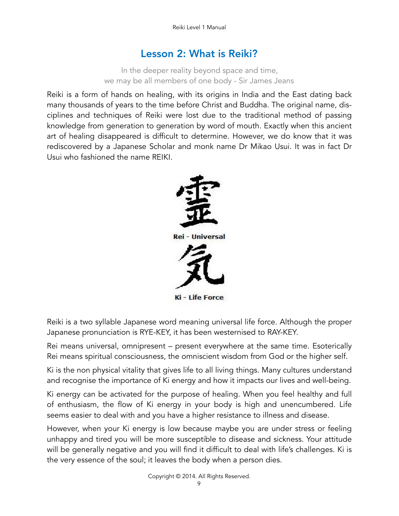# Lesson 2: What is Reiki?

In the deeper reality beyond space and time, we may be all members of one body - Sir James Jeans

Reiki is a form of hands on healing, with its origins in India and the East dating back many thousands of years to the time before Christ and Buddha. The original name, disciplines and techniques of Reiki were lost due to the traditional method of passing knowledge from generation to generation by word of mouth. Exactly when this ancient art of healing disappeared is difficult to determine. However, we do know that it was rediscovered by a Japanese Scholar and monk name Dr Mikao Usui. It was in fact Dr Usui who fashioned the name REIKI.



Reiki is a two syllable Japanese word meaning universal life force. Although the proper Japanese pronunciation is RYE-KEY, it has been westernised to RAY-KEY.

Rei means universal, omnipresent – present everywhere at the same time. Esoterically Rei means spiritual consciousness, the omniscient wisdom from God or the higher self.

Ki is the non physical vitality that gives life to all living things. Many cultures understand and recognise the importance of Ki energy and how it impacts our lives and well-being.

Ki energy can be activated for the purpose of healing. When you feel healthy and full of enthusiasm, the flow of Ki energy in your body is high and unencumbered. Life seems easier to deal with and you have a higher resistance to illness and disease.

However, when your Ki energy is low because maybe you are under stress or feeling unhappy and tired you will be more susceptible to disease and sickness. Your attitude will be generally negative and you will find it difficult to deal with life's challenges. Ki is the very essence of the soul; it leaves the body when a person dies.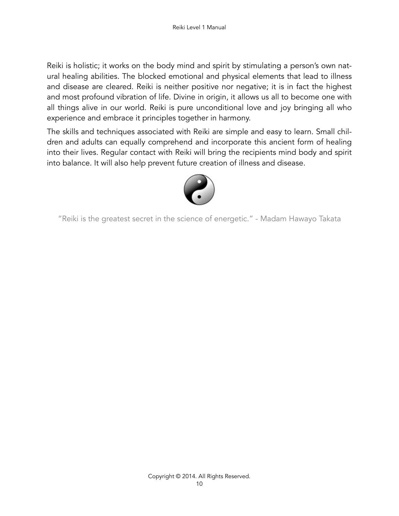Reiki is holistic; it works on the body mind and spirit by stimulating a person's own natural healing abilities. The blocked emotional and physical elements that lead to illness and disease are cleared. Reiki is neither positive nor negative; it is in fact the highest and most profound vibration of life. Divine in origin, it allows us all to become one with all things alive in our world. Reiki is pure unconditional love and joy bringing all who experience and embrace it principles together in harmony.

The skills and techniques associated with Reiki are simple and easy to learn. Small children and adults can equally comprehend and incorporate this ancient form of healing into their lives. Regular contact with Reiki will bring the recipients mind body and spirit into balance. It will also help prevent future creation of illness and disease.



"Reiki is the greatest secret in the science of energetic." - Madam Hawayo Takata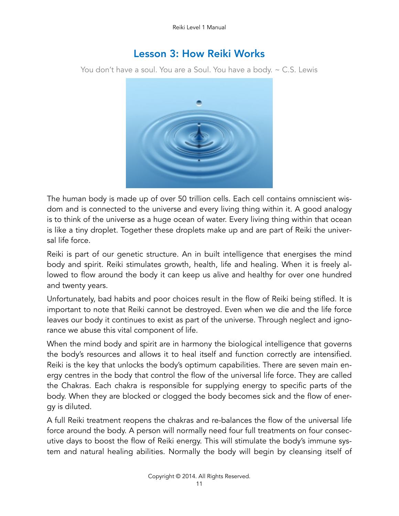# Lesson 3: How Reiki Works

You don't have a soul. You are a Soul. You have a body. ~ C.S. Lewis



The human body is made up of over 50 trillion cells. Each cell contains omniscient wisdom and is connected to the universe and every living thing within it. A good analogy is to think of the universe as a huge ocean of water. Every living thing within that ocean is like a tiny droplet. Together these droplets make up and are part of Reiki the universal life force.

Reiki is part of our genetic structure. An in built intelligence that energises the mind body and spirit. Reiki stimulates growth, health, life and healing. When it is freely allowed to flow around the body it can keep us alive and healthy for over one hundred and twenty years.

Unfortunately, bad habits and poor choices result in the flow of Reiki being stifled. It is important to note that Reiki cannot be destroyed. Even when we die and the life force leaves our body it continues to exist as part of the universe. Through neglect and ignorance we abuse this vital component of life.

When the mind body and spirit are in harmony the biological intelligence that governs the body's resources and allows it to heal itself and function correctly are intensified. Reiki is the key that unlocks the body's optimum capabilities. There are seven main energy centres in the body that control the flow of the universal life force. They are called the Chakras. Each chakra is responsible for supplying energy to specific parts of the body. When they are blocked or clogged the body becomes sick and the flow of energy is diluted.

A full Reiki treatment reopens the chakras and re-balances the flow of the universal life force around the body. A person will normally need four full treatments on four consecutive days to boost the flow of Reiki energy. This will stimulate the body's immune system and natural healing abilities. Normally the body will begin by cleansing itself of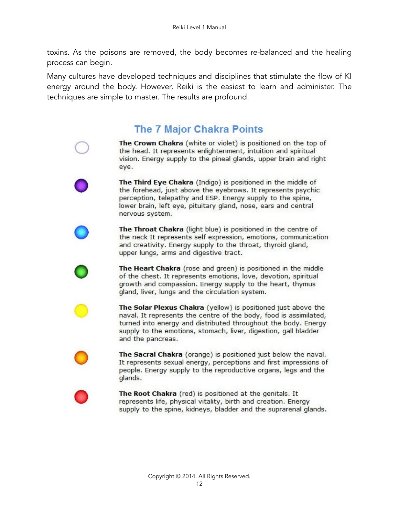toxins. As the poisons are removed, the body becomes re-balanced and the healing process can begin.

Many cultures have developed techniques and disciplines that stimulate the flow of KI energy around the body. However, Reiki is the easiest to learn and administer. The techniques are simple to master. The results are profound.

## **The 7 Major Chakra Points**

The Crown Chakra (white or violet) is positioned on the top of the head. It represents enlightenment, intuition and spiritual vision. Energy supply to the pineal glands, upper brain and right eye.



The Third Eye Chakra (Indigo) is positioned in the middle of the forehead, just above the eyebrows. It represents psychic perception, telepathy and ESP. Energy supply to the spine, lower brain, left eye, pituitary gland, nose, ears and central nervous system.

The Throat Chakra (light blue) is positioned in the centre of the neck It represents self expression, emotions, communication and creativity. Energy supply to the throat, thyroid gland, upper lungs, arms and digestive tract.

The Heart Chakra (rose and green) is positioned in the middle of the chest. It represents emotions, love, devotion, spiritual growth and compassion. Energy supply to the heart, thymus gland, liver, lungs and the circulation system.

The Solar Plexus Chakra (yellow) is positioned just above the naval. It represents the centre of the body, food is assimilated, turned into energy and distributed throughout the body. Energy supply to the emotions, stomach, liver, digestion, gall bladder and the pancreas.

The Sacral Chakra (orange) is positioned just below the naval. It represents sexual energy, perceptions and first impressions of people. Energy supply to the reproductive organs, legs and the glands.

The Root Chakra (red) is positioned at the genitals. It represents life, physical vitality, birth and creation. Energy supply to the spine, kidneys, bladder and the suprarenal glands.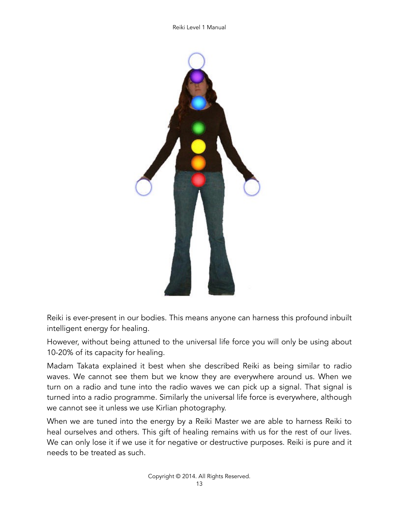

Reiki is ever-present in our bodies. This means anyone can harness this profound inbuilt intelligent energy for healing.

However, without being attuned to the universal life force you will only be using about 10-20% of its capacity for healing.

Madam Takata explained it best when she described Reiki as being similar to radio waves. We cannot see them but we know they are everywhere around us. When we turn on a radio and tune into the radio waves we can pick up a signal. That signal is turned into a radio programme. Similarly the universal life force is everywhere, although we cannot see it unless we use Kirlian photography.

When we are tuned into the energy by a Reiki Master we are able to harness Reiki to heal ourselves and others. This gift of healing remains with us for the rest of our lives. We can only lose it if we use it for negative or destructive purposes. Reiki is pure and it needs to be treated as such.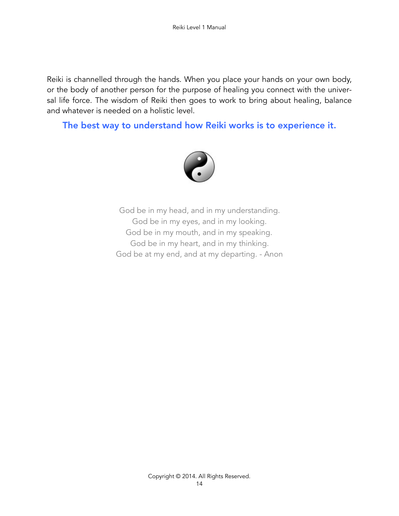Reiki is channelled through the hands. When you place your hands on your own body, or the body of another person for the purpose of healing you connect with the universal life force. The wisdom of Reiki then goes to work to bring about healing, balance and whatever is needed on a holistic level.

The best way to understand how Reiki works is to experience it.



God be in my head, and in my understanding. God be in my eyes, and in my looking. God be in my mouth, and in my speaking. God be in my heart, and in my thinking. God be at my end, and at my departing. - Anon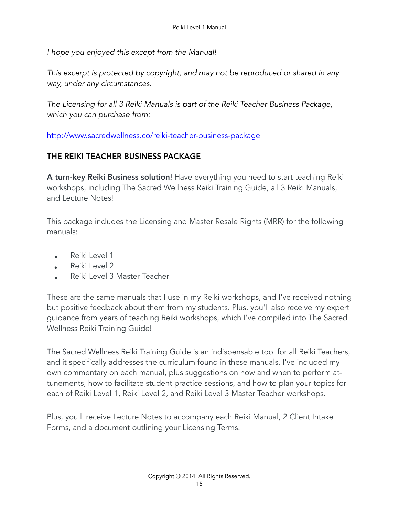*I hope you enjoyed this except from the Manual!* 

*This excerpt is protected by copyright, and may not be reproduced or shared in any way, under any circumstances.* 

*The Licensing for all 3 Reiki Manuals is part of the Reiki Teacher Business Package, which you can purchase from:* 

<http://www.sacredwellness.co/reiki-teacher-business-package>

### THE REIKI TEACHER BUSINESS PACKAGE

A turn-key Reiki Business solution! Have everything you need to start teaching Reiki workshops, including The Sacred Wellness Reiki Training Guide, all 3 Reiki Manuals, and Lecture Notes!

This package includes the Licensing and Master Resale Rights (MRR) for the following manuals:

- Reiki Level 1
- Reiki Level 2
- Reiki Level 3 Master Teacher

These are the same manuals that I use in my Reiki workshops, and I've received nothing but positive feedback about them from my students. Plus, you'll also receive my expert guidance from years of teaching Reiki workshops, which I've compiled into The Sacred Wellness Reiki Training Guide!

The Sacred Wellness Reiki Training Guide is an indispensable tool for all Reiki Teachers, and it specifically addresses the curriculum found in these manuals. I've included my own commentary on each manual, plus suggestions on how and when to perform attunements, how to facilitate student practice sessions, and how to plan your topics for each of Reiki Level 1, Reiki Level 2, and Reiki Level 3 Master Teacher workshops.

Plus, you'll receive Lecture Notes to accompany each Reiki Manual, 2 Client Intake Forms, and a document outlining your Licensing Terms.